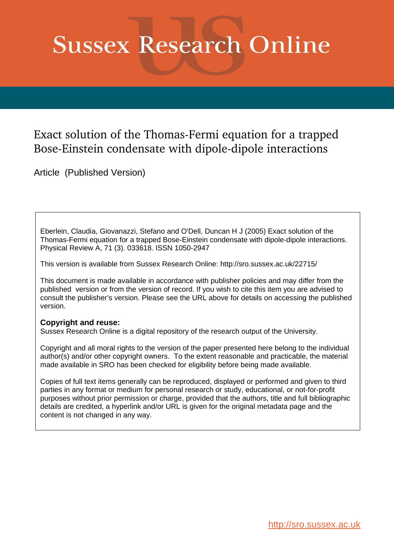# **Sussex Research Online**

# Exact solution of the Thomas-Fermi equation for a trapped Bose-Einstein condensate with dipole-dipole interactions

Article (Published Version)

Eberlein, Claudia, Giovanazzi, Stefano and O'Dell, Duncan H J (2005) Exact solution of the Thomas-Fermi equation for a trapped Bose-Einstein condensate with dipole-dipole interactions. Physical Review A, 71 (3). 033618. ISSN 1050-2947

This version is available from Sussex Research Online: http://sro.sussex.ac.uk/22715/

This document is made available in accordance with publisher policies and may differ from the published version or from the version of record. If you wish to cite this item you are advised to consult the publisher's version. Please see the URL above for details on accessing the published version.

## **Copyright and reuse:**

Sussex Research Online is a digital repository of the research output of the University.

Copyright and all moral rights to the version of the paper presented here belong to the individual author(s) and/or other copyright owners. To the extent reasonable and practicable, the material made available in SRO has been checked for eligibility before being made available.

Copies of full text items generally can be reproduced, displayed or performed and given to third parties in any format or medium for personal research or study, educational, or not-for-profit purposes without prior permission or charge, provided that the authors, title and full bibliographic details are credited, a hyperlink and/or URL is given for the original metadata page and the content is not changed in any way.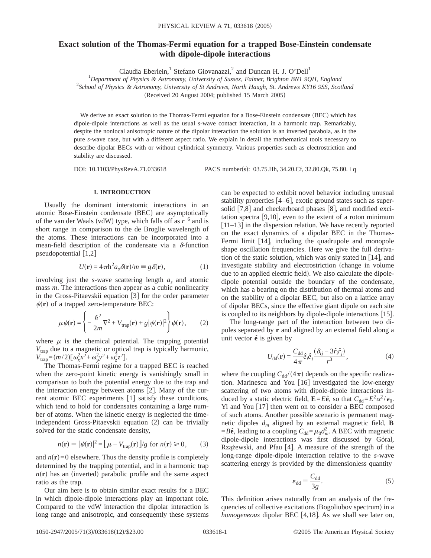### **Exact solution of the Thomas-Fermi equation for a trapped Bose-Einstein condensate with dipole-dipole interactions**

Claudia Eberlein,<sup>1</sup> Stefano Giovanazzi,<sup>2</sup> and Duncan H. J. O'Dell<sup>1</sup>

<sup>1</sup>*Department of Physics & Astronomy, University of Sussex, Falmer, Brighton BN1 9QH, England* 2 *School of Physics & Astronomy, University of St Andrews, North Haugh, St. Andrews KY16 9SS, Scotland*  $(Received 20 August 2004; published 15 March 2005)$ 

We derive an exact solution to the Thomas-Fermi equation for a Bose-Einstein condensate (BEC) which has dipole-dipole interactions as well as the usual *s*-wave contact interaction, in a harmonic trap. Remarkably, despite the nonlocal anisotropic nature of the dipolar interaction the solution is an inverted parabola, as in the pure *s*-wave case, but with a different aspect ratio. We explain in detail the mathematical tools necessary to describe dipolar BECs with or without cylindrical symmetry. Various properties such as electrostriction and stability are discussed.

DOI: 10.1103/PhysRevA.71.033618 PACS number(s): 03.75.Hh, 34.20.Cf, 32.80.Qk, 75.80.+q

#### **I. INTRODUCTION**

Usually the dominant interatomic interactions in an atomic Bose-Einstein condensate (BEC) are asymptotically of the van der Waals (vdW) type, which falls off as  $r^{-6}$  and is short range in comparison to the de Broglie wavelength of the atoms. These interactions can be incorporated into a mean-field description of the condensate via a  $\delta$ -function pseudopotential  $[1,2]$ 

$$
U(\mathbf{r}) = 4\pi\hbar^2 a_s \delta(\mathbf{r})/m \equiv g \delta(\mathbf{r}),\tag{1}
$$

involving just the *s*-wave scattering length *a<sup>s</sup>* and atomic mass *m*. The interactions then appear as a cubic nonlinearity in the Gross-Pitaevskii equation  $\lceil 3 \rceil$  for the order parameter  $\psi(\mathbf{r})$  of a trapped zero-temperature BEC:

$$
\mu \psi(\mathbf{r}) = \left\{ -\frac{\hbar^2}{2m} \nabla^2 + V_{\text{trap}}(\mathbf{r}) + g |\psi(\mathbf{r})|^2 \right\} \psi(\mathbf{r}), \qquad (2)
$$

where  $\mu$  is the chemical potential. The trapping potential *V*<sub>trap</sub> due to a magnetic or optical trap is typically harmonic,  $V_{\text{trap}} = (m/2) [\omega_x^2 x^2 + \omega_y^2 y^2 + \omega_z^2 z^2].$ 

The Thomas-Fermi regime for a trapped BEC is reached when the zero-point kinetic energy is vanishingly small in comparison to both the potential energy due to the trap and the interaction energy between atoms  $[2]$ . Many of the current atomic BEC experiments [1] satisfy these conditions, which tend to hold for condensates containing a large number of atoms. When the kinetic energy is neglected the timeindependent Gross-Pitaevskii equation (2) can be trivially solved for the static condensate density,

$$
n(\mathbf{r}) \equiv |\psi(\mathbf{r})|^2 = [\mu - V_{\text{trap}}(\mathbf{r})]/g \text{ for } n(\mathbf{r}) \ge 0,
$$
 (3)

and  $n(r)=0$  elsewhere. Thus the density profile is completely determined by the trapping potential, and in a harmonic trap  $n(\mathbf{r})$  has an (inverted) parabolic profile and the same aspect ratio as the trap.

Our aim here is to obtain similar exact results for a BEC in which dipole-dipole interactions play an important role. Compared to the vdW interaction the dipolar interaction is long range and anisotropic, and consequently these systems can be expected to exhibit novel behavior including unusual stability properties  $[4–6]$ , exotic ground states such as supersolid  $[7,8]$  and checkerboard phases  $[8]$ , and modified excitation spectra  $[9,10]$ , even to the extent of a roton minimum  $[11–13]$  in the dispersion relation. We have recently reported on the exact dynamics of a dipolar BEC in the Thomas-Fermi limit  $[14]$ , including the quadrupole and monopole shape oscillation frequencies. Here we give the full derivation of the static solution, which was only stated in  $[14]$ , and investigate stability and electrostriction (change in volume due to an applied electric field). We also calculate the dipoledipole potential outside the boundary of the condensate, which has a bearing on the distribution of thermal atoms and on the stability of a dipolar BEC, but also on a lattice array of dipolar BECs, since the effective giant dipole on each site is coupled to its neighbors by dipole-dipole interactions  $[15]$ .

The long-range part of the interaction between two dipoles separated by **r** and aligned by an external field along a unit vector  $\hat{\mathbf{e}}$  is given by

$$
U_{\rm dd}(\mathbf{r}) = \frac{C_{\rm dd}}{4\pi} \hat{e}_i \hat{e}_j \frac{(\delta_{ij} - 3\hat{r}_i \hat{r}_j)}{r^3},\tag{4}
$$

where the coupling  $C_{dd} / (4\pi)$  depends on the specific realization. Marinescu and You  $[16]$  investigated the low-energy scattering of two atoms with dipole-dipole interactions induced by a static electric field,  $\mathbf{E} = E\hat{\mathbf{e}}$ , so that  $C_{dd} = E^2 \alpha^2 / \epsilon_0$ .  $Yi$  and You [17] then went on to consider a BEC composed of such atoms. Another possible scenario is permanent magnetic dipoles *d<sup>m</sup>* aligned by an external magnetic field, **B**  $=$ Bê, leading to a coupling  $C_{dd} = \mu_0 d_m^2$ . A BEC with magnetic dipole-dipole interactions was first discussed by Góral, Rzążewski, and Pfau  $[4]$ . A measure of the strength of the long-range dipole-dipole interaction relative to the *s*-wave scattering energy is provided by the dimensionless quantity

$$
\varepsilon_{\rm dd} \equiv \frac{C_{\rm dd}}{3g}.\tag{5}
$$

This definition arises naturally from an analysis of the frequencies of collective excitations (Bogoliubov spectrum) in a *homogeneous* dipolar BEC [4,18]. As we shall see later on,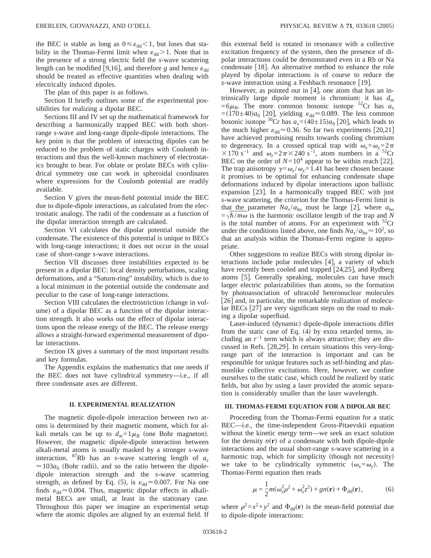the BEC is stable as long as  $0 \le \varepsilon_{dd} < 1$ , but loses that stability in the Thomas-Fermi limit when  $\varepsilon_{dd} > 1$ . Note that in the presence of a strong electric field the *s*-wave scattering length can be modified [9,16], and therefore g and hence  $\varepsilon_{dd}$ should be treated as effective quantities when dealing with electrically induced dipoles.

The plan of this paper is as follows.

Section II briefly outlines some of the experimental possibilities for realizing a dipolar BEC.

Sections III and IV set up the mathematical framework for describing a harmonically trapped BEC with both shortrange *s*-wave and long-range dipole-dipole interactions. The key point is that the problem of interacting dipoles can be reduced to the problem of static charges with Coulomb interactions and thus the well-known machinery of electrostatics brought to bear. For oblate or prolate BECs with cylindrical symmetry one can work in spheroidal coordinates where expressions for the Coulomb potential are readily available.

Section V gives the mean-field potential inside the BEC due to dipole-dipole interactions, as calculated from the electrostatic analogy. The radii of the condensate as a function of the dipolar interaction strength are calculated.

Section VI calculates the dipolar potential outside the condensate. The existence of this potential is unique to BECs with long-range interactions; it does not occur in the usual case of short-range *s*-wave interactions.

Section VII discusses three instabilities expected to be present in a dipolar BEC: local density perturbations, scaling deformations, and a "Saturn-ring" instability, which is due to a local minimum in the potential outside the condensate and peculiar to the case of long-range interactions.

Section VIII calculates the electrostriction (change in volume) of a dipolar BEC as a function of the dipolar interaction strength. It also works out the effect of dipolar interactions upon the release energy of the BEC. The release energy allows a straight-forward experimental measurement of dipolar interactions.

Section IX gives a summary of the most important results and key formulas.

The Appendix explains the mathematics that one needs if the BEC does not have cylindrical symmetry—i.e., if all three condensate axes are different.

#### **II. EXPERIMENTAL REALIZATION**

The magnetic dipole-dipole interaction between two atoms is determined by their magnetic moment, which for alkali metals can be up to  $d_m = 1 \mu_B$  (one Bohr magneton). However, the magnetic dipole-dipole interaction between alkali-metal atoms is usually masked by a stronger *s*-wave interaction. <sup>87</sup>Rb has an *s*-wave scattering length of  $a_s$  $\approx$  103 $a_0$  (Bohr radii), and so the ratio between the dipoledipole interaction strength and the *s*-wave scattering strength, as defined by Eq. (5), is  $\varepsilon_{dd} \approx 0.007$ . For Na one finds  $\varepsilon_{dd} \approx 0.004$ . Thus, magnetic dipolar effects in alkalimetal BECs are small, at least in the stationary case. Throughout this paper we imagine an experimental setup where the atomic dipoles are aligned by an external field. If this external field is rotated in resonance with a collective excitation frequency of the system, then the presence of dipolar interactions could be demonstrated even in a Rb or Na condensate  $[18]$ . An alternative method to enhance the role played by dipolar interactions is of course to reduce the *s*-wave interaction using a Feshbach resonance [19].

However, as pointed out in  $[4]$ , one atom that has an intrinsically large dipole moment is chromium: it has *d<sup>m</sup>*  $=6\mu$ <sup>B</sup>. The more common bosonic isotope <sup>52</sup>Cr has *a<sub>s</sub>*  $=(170\pm40)a_0$  [20], yielding  $\varepsilon_{dd} \approx 0.089$ . The less common bosonic isotope <sup>50</sup>Cr has  $a_s = (40 \pm 15)a_0$  [20], which leads to the much higher  $\varepsilon_{dd} \approx 0.36$ . So far two experiments [20,21] have achieved promising results towards cooling chromium to degeneracy. In a crossed optical trap with  $\omega_x = \omega_y = 2\pi$  $\times$ 170 s<sup>-1</sup> and  $\omega_z$ =2 $\pi$ ×240 s<sup>-1</sup>, atom numbers in a <sup>52</sup>Cr BEC on the order of  $N=10^4$  appear to be within reach [22]. The trap anisotropy  $\gamma = \omega_z / \omega_x = 1.41$  has been chosen because it promises to be optimal for enhancing condensate shape deformations induced by dipolar interactions upon ballistic expansion  $[23]$ . In a harmonically trapped BEC with just *s*-wave scattering, the criterion for the Thomas-Fermi limit is that the parameter  $Na<sub>s</sub>/a<sub>ho</sub>$  must be large [2], where  $a<sub>ho</sub>$  $=\sqrt{\hbar/m\omega}$  is the harmonic oscillator length of the trap and *N* is the total number of atoms. For an experiment with  ${}^{52}Cr$ under the conditions listed above, one finds  $Na_s/a_{\text{ho}} \approx 10^2$ , so that an analysis within the Thomas-Fermi regime is appropriate.

Other suggestions to realize BECs with strong dipolar interactions include polar molecules  $[4]$ , a variety of which have recently been cooled and trapped  $\left[24,25\right]$ , and Rydberg atoms [5]. Generally speaking, molecules can have much larger electric polarizabilities than atoms, so the formation by photoassociation of ultracold heteronuclear molecules [26] and, in particular, the remarkable realization of molecular BECs  $[27]$  are very significant steps on the road to making a dipolar superfluid.

Laser-induced (dynamic) dipole-dipole interactions differ from the static case of Eq.  $(4)$  by extra retarded terms, including an  $r^{-1}$  term which is always attractive; they are discussed in Refs.  $[28,29]$ . In certain situations this very-longrange part of the interaction is important and can be responsible for unique features such as self-binding and plasmonlike collective excitations. Here, however, we confine ourselves to the static case, which could be realized by static fields, but also by using a laser provided the atomic separation is considerably smaller than the laser wavelength.

#### **III. THOMAS-FERMI EQUATION FOR A DIPOLAR BEC**

Proceeding from the Thomas-Fermi equation for a static BEC—i.e., the time-independent Gross-Pitaevskii equation without the kinetic energy term—we seek an exact solution for the density  $n(\mathbf{r})$  of a condensate with both dipole-dipole interactions and the usual short-range *s*-wave scattering in a harmonic trap, which for simplicity (though not necessity) we take to be cylindrically symmetric  $(\omega_x = \omega_y)$ . The Thomas-Fermi equation then reads

$$
\mu = \frac{1}{2}m(\omega_x^2 \rho^2 + \omega_z^2 z^2) + gn(\mathbf{r}) + \Phi_{dd}(\mathbf{r}),\tag{6}
$$

where  $\rho^2 = x^2 + y^2$  and  $\Phi_{dd}(\mathbf{r})$  is the mean-field potential due to dipole-dipole interactions: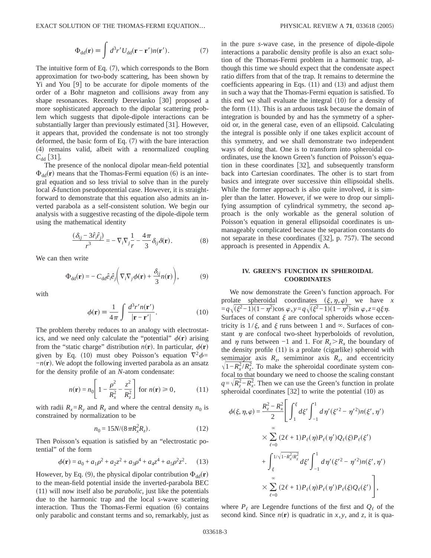$$
\Phi_{\rm dd}(\mathbf{r}) \equiv \int d^3 r' U_{\rm dd}(\mathbf{r} - \mathbf{r}') n(\mathbf{r}'). \tag{7}
$$

The intuitive form of Eq.  $(7)$ , which corresponds to the Born approximation for two-body scattering, has been shown by Yi and You  $[9]$  to be accurate for dipole moments of the order of a Bohr magneton and collisions away from any shape resonances. Recently Derevianko [30] proposed a more sophisticated approach to the dipolar scattering problem which suggests that dipole-dipole interactions can be substantially larger than previously estimated  $[31]$ . However, it appears that, provided the condensate is not too strongly deformed, the basic form of Eq.  $(7)$  with the bare interaction (4) remains valid, albeit with a renormalized coupling  $C_{\rm dd}$  [31].

The presence of the nonlocal dipolar mean-field potential  $\Phi_{dd}(\mathbf{r})$  means that the Thomas-Fermi equation (6) is an integral equation and so less trivial to solve than in the purely local  $\delta$ -function pseudopotential case. However, it is straightforward to demonstrate that this equation also admits an inverted parabola as a self-consistent solution. We begin our analysis with a suggestive recasting of the dipole-dipole term using the mathematical identity

$$
\frac{(\delta_{ij} - 3\hat{r}_i \hat{r}_j)}{r^3} = -\nabla_i \nabla_j \frac{1}{r} - \frac{4\pi}{3} \delta_{ij} \delta(\mathbf{r}).
$$
 (8)

We can then write

$$
\Phi_{\rm dd}(\mathbf{r}) = -C_{\rm dd}\hat{e}_i\hat{e}_j \left(\nabla_i \nabla_j \phi(\mathbf{r}) + \frac{\delta_{ij}}{3} n(\mathbf{r})\right),\tag{9}
$$

with

$$
\phi(\mathbf{r}) \equiv \frac{1}{4\pi} \int \frac{d^3 r' n(\mathbf{r}')}{|\mathbf{r} - \mathbf{r}'|}.
$$
 (10)

The problem thereby reduces to an analogy with electrostatics, and we need only calculate the "potential"  $\phi(\mathbf{r})$  arising from the "static charge" distribution  $n(\mathbf{r})$ . In particular,  $\phi(\mathbf{r})$ given by Eq. (10) must obey Poisson's equation  $\nabla^2 \phi =$  $-n(r)$ . We adopt the following inverted parabola as an ansatz for the density profile of an *N*-atom condensate:

$$
n(\mathbf{r}) = n_0 \left[ 1 - \frac{\rho^2}{R_x^2} - \frac{z^2}{R_z^2} \right] \text{ for } n(\mathbf{r}) \ge 0,
$$
 (11)

with radii  $R_x = R_y$  and  $R_z$  and where the central density  $n_0$  is constrained by normalization to be

$$
n_0 = 15N/(8\pi R_x^2 R_z). \tag{12}
$$

Then Poisson's equation is satisfied by an "electrostatic potential" of the form

$$
\phi(\mathbf{r}) = a_0 + a_1 \rho^2 + a_2 z^2 + a_3 \rho^4 + a_4 z^4 + a_5 \rho^2 z^2. \tag{13}
$$

However, by Eq. (9), the physical dipolar contribution  $\Phi_{dd}(\mathbf{r})$ to the mean-field potential inside the inverted-parabola BEC  $(11)$  will now itself also be *parabolic*, just like the potentials due to the harmonic trap and the local *s*-wave scattering interaction. Thus the Thomas-Fermi equation  $(6)$  contains only parabolic and constant terms and so, remarkably, just as in the pure *s*-wave case, in the presence of dipole-dipole interactions a parabolic density profile is also an exact solution of the Thomas-Fermi problem in a harmonic trap, although this time we should expect that the condensate aspect ratio differs from that of the trap. It remains to determine the coefficients appearing in Eqs.  $(11)$  and  $(13)$  and adjust them in such a way that the Thomas-Fermi equation is satisfied. To this end we shall evaluate the integral  $(10)$  for a density of the form  $(11)$ . This is an arduous task because the domain of integration is bounded by and has the symmetry of a spheroid or, in the general case, even of an ellipsoid. Calculating the integral is possible only if one takes explicit account of this symmetry, and we shall demonstrate two independent ways of doing that. One is to transform into spheroidal coordinates, use the known Green's function of Poisson's equation in these coordinates  $[32]$ , and subsequently transform back into Cartesian coordinates. The other is to start from basics and integrate over successive thin ellipsoidal shells. While the former approach is also quite involved, it is simpler than the latter. However, if we were to drop our simplifying assumption of cylindrical symmetry, the second approach is the only workable as the general solution of Poisson's equation in general ellipsoidal coordinates is unmanageably complicated because the separation constants do not separate in these coordinates  $(32)$ , p. 757). The second approach is presented in Appendix A.

#### **IV. GREEN'S FUNCTION IN SPHEROIDAL COORDINATES**

We now demonstrate the Green's function approach. For prolate spheroidal coordinates  $(\xi, \eta, \varphi)$  we have *x*  $\frac{1}{2}q\sqrt{(\xi^2-1)(1-\eta^2)}\cos\varphi, y=q\sqrt{(\xi^2-1)(1-\eta^2)}\sin\varphi, z=q\xi\eta.$ Surfaces of constant  $\xi$  are confocal spheroids whose eccentricity is  $1/\xi$ , and  $\xi$  runs between 1 and  $\infty$ . Surfaces of constant  $\eta$  are confocal two-sheet hyperboloids of revolution, and  $\eta$  runs between −1 and 1. For  $R_z > R_x$  the boundary of the density profile  $(11)$  is a prolate (cigarlike) spheroid with semimajor axis  $R_z$ , semiminor axis  $R_x$ , and eccentricity  $\sqrt{1-R_x^2/R_z^2}$ . To make the spheroidal coordinate system confocal to that boundary we need to choose the scaling constant  $q = \sqrt{R_z^2 - R_x^2}$ . Then we can use the Green's function in prolate spheroidal coordinates  $[32]$  to write the potential  $(10)$  as

$$
\phi(\xi, \eta, \varphi) = \frac{R_{z}^{2} - R_{x}^{2}}{2} \left[ \int_{1}^{\xi} d\xi' \int_{-1}^{1} d\eta' (\xi'^{2} - \eta'^{2}) n(\xi', \eta') \times \sum_{\ell=0}^{\infty} (2\ell + 1) P_{\ell}(\eta) P_{\ell}(\eta') Q_{\ell}(\xi) P_{\ell}(\xi') \right. \\ \left. + \int_{\xi}^{1/\sqrt{1 - R_{x}^{2}/R_{z}^{2}}} d\xi' \int_{-1}^{1} d\eta' (\xi'^{2} - \eta'^{2}) n(\xi', \eta') \times \sum_{\ell=0}^{\infty} (2\ell + 1) P_{\ell}(\eta) P_{\ell}(\eta') P_{\ell}(\xi) Q_{\ell}(\xi') \right],
$$

where  $P_{\ell}$  are Legendre functions of the first and  $Q_{\ell}$  of the second kind. Since  $n(\mathbf{r})$  is quadratic in *x*, *y*, and *z*, it is qua-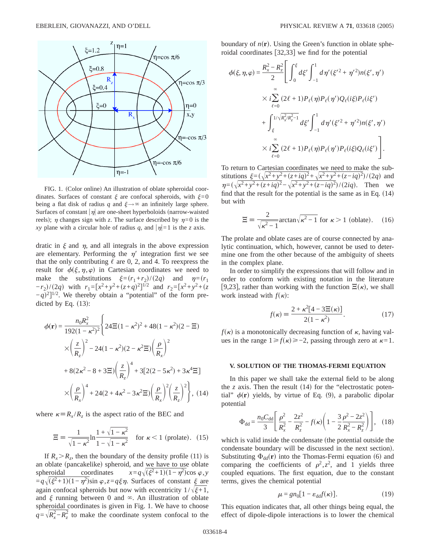

FIG. 1. (Color online) An illustration of oblate spheroidal coordinates. Surfaces of constant  $\xi$  are confocal spheroids, with  $\xi=0$ being a flat disk of radius *q* and  $\xi \rightarrow \infty$  an infinitely large sphere. Surfaces of constant  $|\eta|$  are one-sheet hyperboloids (narrow-waisted reels);  $\eta$  changes sign with *z*. The surface described by  $\eta=0$  is the *xy* plane with a circular hole of radius *q*, and  $|\eta|=1$  is the *z* axis.

dratic in  $\xi$  and  $\eta$ , and all integrals in the above expression are elementary. Performing the  $\eta'$  integration first we see that the only contributing  $\ell$  are 0, 2, and 4. To reexpress the result for  $\phi(\xi,\eta,\varphi)$  in Cartesian coordinates we need to make the substitutions  $\xi = (r_1 + r_2)/(2q)$  and  $\eta = (r_1$  $-r_2$ )/(2*q*) with  $r_1 = [x^2 + y^2 + (z+q)^2]^{1/2}$  and  $r_2 = [x^2 + y^2 + (z+q)^2]^{1/2}$  $(-q)^2$ <sup>1/2</sup>. We thereby obtain a "potential" of the form predicted by Eq.  $(13)$ :

$$
\phi(\mathbf{r}) = \frac{n_0 R_x^2}{192(1 - \kappa^2)^2} \left\{ 24 \Xi (1 - \kappa^2)^2 + 48(1 - \kappa^2)(2 - \Xi) \right.\n\times \left( \frac{z}{R_z} \right)^2 - 24(1 - \kappa^2)(2 - \kappa^2 \Xi) \left( \frac{\rho}{R_x} \right)^2 \n+ 8(2\kappa^2 - 8 + 3\Xi) \left( \frac{z}{R_z} \right)^4 + 3[2(2 - 5\kappa^2) + 3\kappa^4 \Xi] \n\times \left( \frac{\rho}{R_x} \right)^4 + 24(2 + 4\kappa^2 - 3\kappa^2 \Xi) \left( \frac{\rho}{R_x} \right)^2 \left( \frac{z}{R_z} \right)^2 \right\}, (14)
$$

where  $\kappa = R_x/R_z$  is the aspect ratio of the BEC and

$$
\Xi = \frac{1}{\sqrt{1 - \kappa^2}} \ln \frac{1 + \sqrt{1 - \kappa^2}}{1 - \sqrt{1 - \kappa^2}} \quad \text{for } \kappa < 1 \text{ (prolate). (15)}
$$

If  $R_x > R_z$ , then the boundary of the density profile (11) is an oblate (pancakelike) spheroid, and we have to use oblate spheroidal coordinates *x*=*q*Îs<sup>j</sup>  $a^2+1$ )(1- $\eta^2$ )cos  $\varphi, y$  $=q\sqrt{(\xi^2+1)(1-\eta^2)}\sin\varphi, z=q\xi\eta$ . Surfaces of constant  $\xi$  are again confocal spheroids but now with eccentricity  $1/\sqrt{\xi+1}$ , and  $\xi$  running between 0 and  $\infty$ . An illustration of oblate spheroidal coordinates is given in Fig. 1. We have to choose  $q = \sqrt{R_x^2 - R_z^2}$  to make the coordinate system confocal to the

boundary of  $n(\mathbf{r})$ . Using the Green's function in oblate spheroidal coordinates  $[32,33]$  we find for the potential

$$
\phi(\xi, \eta, \varphi) = \frac{R_x^2 - R_z^2}{2} \Bigg[ \int_0^{\xi} d\xi' \int_{-1}^1 d\eta' (\xi'^2 + \eta'^2) n(\xi', \eta') \times i \sum_{\ell=0}^{\infty} (2\ell + 1) P_{\ell}(\eta) P_{\ell}(\eta') Q_{\ell}(i\xi) P_{\ell}(i\xi') + \int_{\xi}^{1/\sqrt{R_x^2/R_z^2 - 1}} d\xi' \int_{-1}^1 d\eta' (\xi'^2 + \eta'^2) n(\xi', \eta') \times i \sum_{\ell=0}^{\infty} (2\ell + 1) P_{\ell}(\eta) P_{\ell}(\eta') P_{\ell}(i\xi) Q_{\ell}(i\xi') \Bigg].
$$

To return to Cartesian coordinates we need to make the substitutions  $\xi = (\sqrt{x^2 + y^2 + (z + iq)^2} + \sqrt{x^2 + y^2 + (z - iq)^2})/(2q)$  and  $\eta = (\sqrt{x^2+y^2+(z+iq)^2} - \sqrt{x^2+y^2+(z-iq)^2})/(2iq)$ . Then we find that the result for the potential is the same as in Eq.  $(14)$ but with

$$
\Xi = \frac{2}{\sqrt{\kappa^2 - 1}} \arctan\sqrt{\kappa^2 - 1} \text{ for } \kappa > 1 \text{ (oblate).} \quad (16)
$$

The prolate and oblate cases are of course connected by analytic continuation, which, however, cannot be used to determine one from the other because of the ambiguity of sheets in the complex plane.

In order to simplify the expressions that will follow and in order to conform with existing notation in the literature [9,23], rather than working with the function  $\Xi(\kappa)$ , we shall work instead with  $f(\kappa)$ :

$$
f(\kappa) \equiv \frac{2 + \kappa^2 [4 - 3\Xi(\kappa)]}{2(1 - \kappa^2)}.
$$
 (17)

 $f(\kappa)$  is a monotonically decreasing function of  $\kappa$ , having values in the range  $1 \ge f(\kappa) \ge -2$ , passing through zero at  $\kappa = 1$ .

#### **V. SOLUTION OF THE THOMAS-FERMI EQUATION**

In this paper we shall take the external field to be along the  $z$  axis. Then the result  $(14)$  for the "electrostatic potential"  $\phi(\mathbf{r})$  yields, by virtue of Eq. (9), a parabolic dipolar potential

$$
\Phi_{\rm dd} = \frac{n_0 C_{\rm dd}}{3} \left[ \frac{\rho^2}{R_x^2} - \frac{2z^2}{R_z^2} - f(\kappa) \left( 1 - \frac{3}{2} \frac{\rho^2 - 2z^2}{R_x^2 - R_z^2} \right) \right], \quad (18)
$$

which is valid inside the condensate (the potential outside the condensate boundary will be discussed in the next section). Substituting  $\Phi_{dd}(\mathbf{r})$  into the Thomas-Fermi equation (6) and comparing the coefficients of  $\rho^2$ ,  $z^2$ , and 1 yields three coupled equations. The first equation, due to the constant terms, gives the chemical potential

$$
\mu = gn_0[1 - \varepsilon_{\text{dd}} f(\kappa)].\tag{19}
$$

This equation indicates that, all other things being equal, the effect of dipole-dipole interactions is to lower the chemical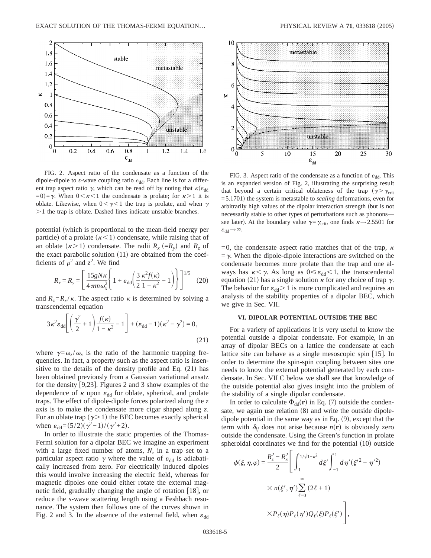

FIG. 2. Aspect ratio of the condensate as a function of the dipole-dipole to *s*-wave coupling ratio  $\varepsilon_{dd}$ . Each line is for a different trap aspect ratio  $\gamma$ , which can be read off by noting that  $\kappa(\varepsilon_{dd})$  $(0,0)=\gamma$ . When  $0<\kappa<1$  the condensate is prolate; for  $\kappa>1$  it is oblate. Likewise, when  $0<\gamma<1$  the trap is prolate, and when  $\gamma$  $>1$  the trap is oblate. Dashed lines indicate unstable branches.

potential (which is proportional to the mean-field energy per particle) of a prolate  $(\kappa < 1)$  condensate, while raising that of an oblate  $(\kappa > 1)$  condensate. The radii  $R_x$  (= $R_y$ ) and  $R_z$  of the exact parabolic solution  $(11)$  are obtained from the coefficients of  $\rho^2$  and  $z^2$ . We find

$$
R_x = R_y = \left[ \frac{15gN\kappa}{4\pi m\omega_x^2} \left\{ 1 + \varepsilon_{\rm dd} \left( \frac{3}{2} \frac{\kappa^2 f(\kappa)}{1 - \kappa^2} - 1 \right) \right\} \right]^{1/5} \tag{20}
$$

and  $R_z = R_x / \kappa$ . The aspect ratio  $\kappa$  is determined by solving a transcendental equation

$$
3\kappa^2 \varepsilon_{\rm dd} \left[ \left( \frac{\gamma^2}{2} + 1 \right) \frac{f(\kappa)}{1 - \kappa^2} - 1 \right] + (\varepsilon_{\rm dd} - 1)(\kappa^2 - \gamma^2) = 0,
$$
\n(21)

where  $\gamma = \omega_z / \omega_x$  is the ratio of the harmonic trapping frequencies. In fact, a property such as the aspect ratio is insensitive to the details of the density profile and Eq.  $(21)$  has been obtained previously from a Gaussian variational ansatz for the density  $[9,23]$ . Figures 2 and 3 show examples of the dependence of  $\kappa$  upon  $\varepsilon_{dd}$  for oblate, spherical, and prolate traps. The effect of dipole-dipole forces polarized along the *z* axis is to make the condensate more cigar shaped along *z*. For an oblate trap  $(\gamma > 1)$  the BEC becomes exactly spherical when  $\varepsilon_{\text{dd}} = (5/2)(\gamma^2 - 1)/(\gamma^2 + 2)$ .

In order to illustrate the static properties of the Thomas-Fermi solution for a dipolar BEC we imagine an experiment with a large fixed number of atoms, *N*, in a trap set to a particular aspect ratio  $\gamma$  where the value of  $\varepsilon_{dd}$  is adiabatically increased from zero. For electrically induced dipoles this would involve increasing the electric field, whereas for magnetic dipoles one could either rotate the external magnetic field, gradually changing the angle of rotation  $[18]$ , or reduce the *s*-wave scattering length using a Feshbach resonance. The system then follows one of the curves shown in Fig. 2 and 3. In the absence of the external field, when  $\varepsilon_{dd}$ 



FIG. 3. Aspect ratio of the condensate as a function of  $\varepsilon_{dd}$ . This is an expanded version of Fig. 2, illustrating the surprising result that beyond a certain critical oblateness of the trap  $(\gamma > \gamma_{\text{crit}})$  $=5.1701$ ) the system is metastable to *scaling* deformations, even for arbitrarily high values of the dipolar interaction strength (but is not necessarily stable to other types of perturbations such as phonons see later). At the boundary value  $\gamma = \gamma_{\text{crit}}$ , one finds  $\kappa \rightarrow 2.5501$  for  $\varepsilon_{\rm dd} \rightarrow \infty$ .

 $=0$ , the condensate aspect ratio matches that of the trap,  $\kappa$  $=\gamma$ . When the dipole-dipole interactions are switched on the condensate becomes more prolate than the trap and one always has  $\kappa < \gamma$ . As long as  $0 \le \varepsilon_{dd} < 1$ , the transcendental equation (21) has a single solution  $\kappa$  for any choice of trap  $\gamma$ . The behavior for  $\varepsilon_{dd} > 1$  is more complicated and requires an analysis of the stability properties of a dipolar BEC, which we give in Sec. VII.

#### **VI. DIPOLAR POTENTIAL OUTSIDE THE BEC**

For a variety of applications it is very useful to know the potential outside a dipolar condensate. For example, in an array of dipolar BECs on a lattice the condensate at each lattice site can behave as a single mesoscopic spin  $[15]$ . In order to determine the spin-spin coupling between sites one needs to know the external potential generated by each condensate. In Sec. VII C below we shall see that knowledge of the outside potential also gives insight into the problem of the stability of a single dipolar condensate.

In order to calculate  $\Phi_{dd}(\mathbf{r})$  in Eq. (7) outside the condensate, we again use relation  $(8)$  and write the outside dipoledipole potential in the same way as in Eq.  $(9)$ , except that the term with  $\delta_{ij}$  does not arise because  $n(\mathbf{r})$  is obviously zero outside the condensate. Using the Green's function in prolate spheroidal coordinates we find for the potential  $(10)$  outside

$$
\phi(\xi, \eta, \varphi) = \frac{R_z^2 - R_x^2}{2} \left[ \int_1^{1/\sqrt{1-\kappa^2}} d\xi' \int_{-1}^1 d\eta' (\xi'^2 - \eta'^2) \times n(\xi', \eta') \sum_{\ell=0}^\infty (2\ell + 1) \times P_\ell(\eta) P_\ell(\eta') Q_\ell(\xi) P_\ell(\xi') \right],
$$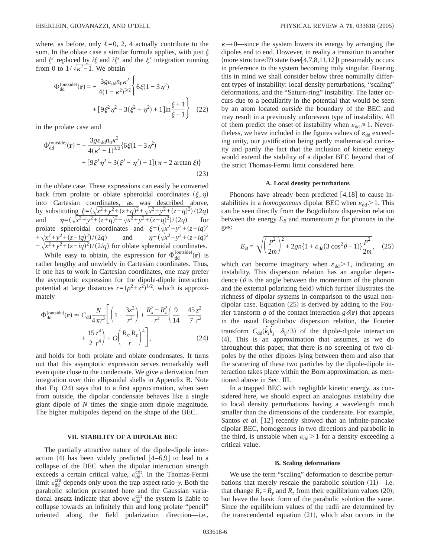where, as before, only  $\ell = 0, 2, 4$  actually contribute to the sum. In the oblate case a similar formula applies, with just  $\xi$ and  $\xi'$  replaced by  $i\xi$  and  $i\xi'$  and the  $\xi'$  integration running from 0 to  $1/\sqrt{\kappa^2-1}$ . We obtain

$$
\Phi_{\text{dd}}^{(\text{outside})}(\mathbf{r}) = -\frac{3g\epsilon_{\text{dd}}n_0\kappa^2}{4(1-\kappa^2)^{3/2}} \left\{ 6\xi(1-3\eta^2) + [9\xi^2\eta^2 - 3(\xi^2 + \eta^2) + 1] \ln\frac{\xi+1}{\xi-1} \right\}
$$
 (22)

in the prolate case and

$$
\Phi_{\text{dd}}^{(\text{outside})}(\mathbf{r}) = -\frac{3g\epsilon_{\text{dd}}n_{0}\kappa^{2}}{4(\kappa^{2} - 1)^{3/2}} \{6\xi(1 - 3\eta^{2}) + [9\xi^{2}\eta^{2} - 3(\xi^{2} - \eta^{2}) - 1](\pi - 2\arctan\xi)\}\
$$
\n(23)

in the oblate case. These expressions can easily be converted back from prolate or oblate spheroidal coordinates  $(\xi, \eta)$ into Cartesian coordinates, as was described above, by substituting  $\xi = (\sqrt{x^2 + y^2 + (z+q)^2} + \sqrt{x^2 + y^2 + (z-q)^2})/(2q)$ and  $\eta = (\sqrt{x^2 + y^2 + (z+q)^2} - \sqrt{x^2 + y^2 + (z-q)^2})/(2q)$  for prolate spheroidal coordinates and  $\xi = (\sqrt{x^2 + y^2 + (z + iq)^2})$  $\frac{1}{\gamma}$   $\sqrt{x^2+y^2+(z-iq)^2}/(2q)$  and  $\frac{1}{\gamma}$   $\frac{1}{\gamma^2}$   $\frac{1}{\sqrt{x^2+y^2+(z+iq)^2}}$  $-\sqrt{x^2+y^2+(z-iq)^2}/(2iq)$  for oblate spheroidal coordinates.

While easy to obtain, the expression for  $\Phi_{dd}^{(outside)}(r)$  is rather lengthy and unwieldy in Cartesian coordinates. Thus, if one has to work in Cartesian coordinates, one may prefer the asymptotic expression for the dipole-dipole interaction potential at large distances  $r = (\rho^2 + z^2)^{1/2}$ , which is approximately

$$
\Phi_{\text{dd}}^{(\text{outside})}(\mathbf{r}) \simeq C_{\text{dd}} \frac{N}{4\pi r^3} \left[ \left( 1 - \frac{3z^2}{r^2} \right) + \frac{R_x^2 - R_z^2}{r^2} \left( \frac{9}{14} - \frac{45 z^2}{7 r^2} + \frac{15 z^4}{2 r^4} \right) + O\left( \frac{R_x R_z}{r} \right)^4 \right],\tag{24}
$$

and holds for both prolate and oblate condensates. It turns out that this asymptotic expression serves remarkably well even quite close to the condensate. We give a derivation from integration over thin ellipsoidal shells in Appendix B. Note that Eq.  $(24)$  says that to a first approximation, when seen from outside, the dipolar condensate behaves like a single giant dipole of *N* times the single-atom dipole magnitude. The higher multipoles depend on the shape of the BEC.

#### **VII. STABILITY OF A DIPOLAR BEC**

The partially attractive nature of the dipole-dipole interaction (4) has been widely predicted  $[4–6,9]$  to lead to a collapse of the BEC when the dipolar interaction strength exceeds a certain critical value,  $\varepsilon_{dd}^{crit}$ . In the Thomas-Fermi limit  $\varepsilon_{\text{dd}}^{\text{crit}}$  depends only upon the trap aspect ratio  $\gamma$ . Both the parabolic solution presented here and the Gaussian variational ansatz indicate that above  $\varepsilon_{dd}^{crit}$  the system is liable to collapse towards an infinitely thin and long prolate "pencil" oriented along the field polarization direction—i.e.,

 $\kappa \rightarrow 0$ —since the system lowers its energy by arranging the dipoles end to end. However, in reality a transition to another (more structured?) state (see[ $4,7,8,11,12$ ]) presumably occurs in preference to the system becoming truly singular. Bearing this in mind we shall consider below three nominally different types of instability: local density perturbations, "scaling" deformations, and the "Saturn-ring" instability. The latter occurs due to a peculiarity in the potential that would be seen by an atom located *outside* the boundary of the BEC and may result in a previously unforeseen type of instability. All of them predict the onset of instability when  $\varepsilon_{dd} \ge 1$ . Nevertheless, we have included in the figures values of  $\varepsilon_{dd}$  exceeding unity, our justification being partly mathematical curiosity and partly the fact that the inclusion of kinetic energy would extend the stability of a dipolar BEC beyond that of the strict Thomas-Fermi limit considered here.

#### **A. Local density perturbations**

Phonons have already been predicted  $[4,18]$  to cause instabilities in a *homogeneous* dipolar BEC when  $\varepsilon_{dd} > 1$ . This can be seen directly from the Bogoliubov dispersion relation between the energy  $E_B$  and momentum  $p$  for phonons in the gas:

$$
E_B = \sqrt{\left(\frac{p^2}{2m}\right)^2 + 2gn\{1 + \varepsilon_{dd}(3\cos^2\theta - 1)\}\frac{p^2}{2m}},\quad(25)
$$

which can become imaginary when  $\varepsilon_{dd} > 1$ , indicating an instability. This dispersion relation has an angular dependence  $(\theta)$  is the angle between the momentum of the phonon and the external polarizing field) which further illustrates the richness of dipolar systems in comparison to the usual nondipolar case. Equation  $(25)$  is derived by adding to the Fourier transform *g* of the contact interaction  $g\delta(\mathbf{r})$  that appears in the usual Bogoliubov dispersion relation, the Fourier transform  $C_{dd}(\hat{k}_i \hat{k}_j - \delta_{ij}/3)$  of the dipole-dipole interaction  $(4)$ . This is an approximation that assumes, as we do throughout this paper, that there is no screening of two dipoles by the other dipoles lying between them and also that the scattering of these two particles by the dipole-dipole interaction takes place within the Born approximation, as mentioned above in Sec. III.

In a trapped BEC with negligible kinetic energy, as considered here, we should expect an analogous instability due to local density perturbations having a wavelength much smaller than the dimensions of the condensate. For example, Santos *et al.* [12] recently showed that an infinite-pancake dipolar BEC, homogenous in two directions and parabolic in the third, is unstable when  $\varepsilon_{dd} > 1$  for a density exceeding a critical value.

#### **B. Scaling deformations**

We use the term "scaling" deformation to describe perturbations that merely rescale the parabolic solution  $(11)$ —i.e. that change  $R_x = R_y$  and  $R_z$  from their equilibrium values (20), but leave the basic form of the parabolic solution the same. Since the equilibrium values of the radii are determined by the transcendental equation  $(21)$ , which also occurs in the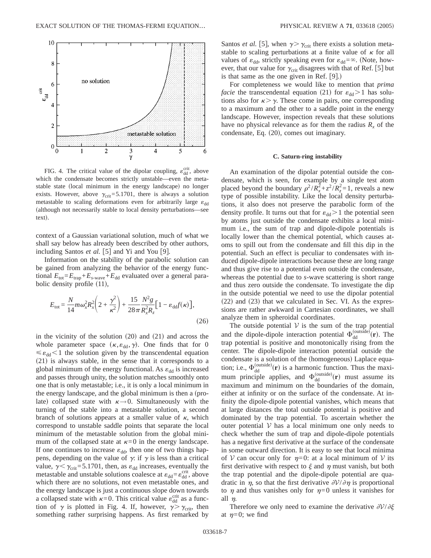

FIG. 4. The critical value of the dipolar coupling,  $\varepsilon_{dd}^{crit}$ , above which the condensate becomes strictly unstable—even the metastable state (local minimum in the energy landscape) no longer exists. However, above  $\gamma_{\text{crit}} = 5.1701$ , there is always a solution metastable to scaling deformations even for arbitrarily large  $\varepsilon_{dd}$ (although not necessarily stable to local density perturbations—see text).

context of a Gaussian variational solution, much of what we shall say below has already been described by other authors, including Santos et al. [5] and Yi and You [9].

Information on the stability of the parabolic solution can be gained from analyzing the behavior of the energy functional  $E_{\text{tot}} = E_{\text{tran}} + E_{s\text{-wave}} + E_{\text{dd}}$  evaluated over a general parabolic density profile  $(11)$ ,

$$
E_{\text{tot}} = \frac{N}{14} m \omega_x^2 R_x^2 \left( 2 + \frac{\gamma^2}{\kappa^2} \right) + \frac{15}{28 \pi} \frac{N^2 g}{R_x^2 R_z} \left[ 1 - \varepsilon_{\text{dd}} f(\kappa) \right],\tag{26}
$$

in the vicinity of the solution  $(20)$  and  $(21)$  and across the whole parameter space  $(\kappa, \varepsilon_{dd}, \gamma)$ . One finds that for 0  $\leq \varepsilon_{dd} \leq 1$  the solution given by the transcendental equation  $(21)$  is always stable, in the sense that it corresponds to a global minimum of the energy functional. As  $\varepsilon_{dd}$  is increased and passes through unity, the solution matches smoothly onto one that is only metastable; i.e., it is only a local minimum in the energy landscape, and the global minimum is then a (prolate) collapsed state with  $\kappa \rightarrow 0$ . Simultaneously with the turning of the stable into a metastable solution, a second branch of solutions appears at a smaller value of  $\kappa$ , which correspond to unstable saddle points that separate the local minimum of the metastable solution from the global minimum of the collapsed state at  $\kappa=0$  in the energy landscape. If one continues to increase  $\varepsilon_{dd}$ , then one of two things happens, depending on the value of  $\gamma$ : if  $\gamma$  is less than a critical value,  $\gamma < \gamma_{\text{crit}} = 5.1701$ , then, as  $\varepsilon_{\text{dd}}$  increases, eventually the metastable and unstable solutions coalesce at  $\varepsilon_{dd} = \varepsilon_{dd}^{crit}$ , above which there are no solutions, not even metastable ones, and the energy landscape is just a continuous slope down towards a collapsed state with  $\kappa$ =0. This critical value  $\varepsilon_{dd}^{\text{crit}}$  as a function of  $\gamma$  is plotted in Fig. 4. If, however,  $\gamma > \gamma_{\text{crit}}$ , then something rather surprising happens. As first remarked by Santos *et al.* [5], when  $\gamma > \gamma_{\text{crit}}$  there exists a solution metastable to scaling perturbations at a finite value of  $\kappa$  for all values of  $\varepsilon_{dd}$ , strictly speaking even for  $\varepsilon_{dd} = \infty$ . (Note, however, that our value for  $\gamma_{\text{crit}}$  disagrees with that of Ref. [5] but is that same as the one given in Ref.  $[9]$ .)

For completeness we would like to mention that *prima facie* the transcendental equation (21) for  $\varepsilon_{dd} > 1$  has solutions also for  $\kappa > \gamma$ . These come in pairs, one corresponding to a maximum and the other to a saddle point in the energy landscape. However, inspection reveals that these solutions have no physical relevance as for them the radius  $R<sub>x</sub>$  of the condensate, Eq.  $(20)$ , comes out imaginary.

#### **C. Saturn-ring instability**

An examination of the dipolar potential outside the condensate, which is seen, for example by a single test atom placed beyond the boundary  $\rho^2/R_x^2 + z^2/R_z^2 = 1$ , reveals a new type of possible instability. Like the local density perturbations, it also does not preserve the parabolic form of the density profile. It turns out that for  $\varepsilon_{dd} > 1$  the potential seen by atoms just outside the condensate exhibits a local minimum i.e., the sum of trap and dipole-dipole potentials is locally lower than the chemical potential, which causes atoms to spill out from the condensate and fill this dip in the potential. Such an effect is peculiar to condensates with induced dipole-dipole interactions because these are long range and thus give rise to a potential even outside the condensate, whereas the potential due to *s*-wave scattering is short range and thus zero outside the condensate. To investigate the dip in the outside potential we need to use the dipolar potential  $(22)$  and  $(23)$  that we calculated in Sec. VI. As the expressions are rather awkward in Cartesian coordinates, we shall analyze them in spheroidal coordinates.

The outside potential  $V$  is the sum of the trap potential and the dipole-dipole interaction potential  $\Phi_{dd}^{(outside)}(\mathbf{r})$ . The trap potential is positive and monotonically rising from the center. The dipole-dipole interaction potential outside the condensate is a solution of the (homogeneous) Laplace equation; i.e.,  $\Phi_{dd}^{(outside)}(\mathbf{r})$  is a harmonic function. Thus the maximum principle applies, and  $\Phi_{dd}^{(outside)}(\mathbf{r})$  must assume its maximum and minimum on the boundaries of the domain, either at infinity or on the surface of the condensate. At infinity the dipole-dipole potential vanishes, which means that at large distances the total outside potential is positive and dominated by the trap potential. To ascertain whether the outer potential  $V$  has a local minimum one only needs to check whether the sum of trap and dipole-dipole potentials has a negative first derivative at the surface of the condensate in some outward direction. It is easy to see that local minima of V can occur only for  $\eta=0$ : at a local minimum of V its first derivative with respect to  $\xi$  and  $\eta$  must vanish, but both the trap potential and the dipole-dipole potential are quadratic in  $\eta$ , so that the first derivative  $\partial V/\partial \eta$  is proportional to  $\eta$  and thus vanishes only for  $\eta=0$  unless it vanishes for all  $n$ .

Therefore we only need to examine the derivative  $\partial V/\partial \xi$ at  $\eta=0$ ; we find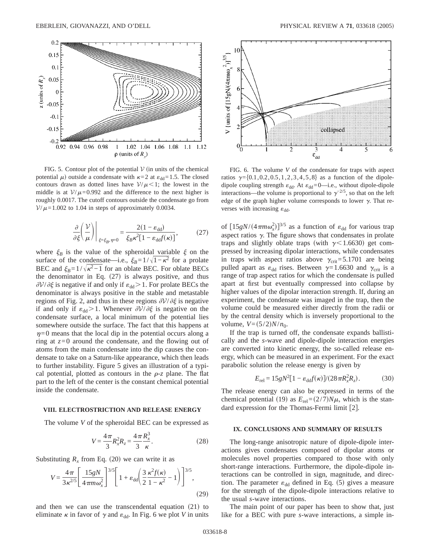

FIG. 5. Contour plot of the potential  $V$  (in units of the chemical potential  $\mu$ ) outside a condensate with  $\kappa=2$  at  $\varepsilon_{dd}=1.5$ . The closed contours drawn as dotted lines have  $V/\mu < 1$ ; the lowest in the middle is at  $V/\mu$ =0.992 and the difference to the next higher is roughly 0.0017. The cutoff contours outside the condensate go from  $V/\mu$ =1.002 to 1.04 in steps of approximately 0.0034.

$$
\frac{\partial}{\partial \xi} \left( \frac{V}{\mu} \right) \Big|_{\xi = \xi_B, \eta = 0} = \frac{2(1 - \varepsilon_{\text{dd}})}{\xi_B \kappa^2 [1 - \varepsilon_{\text{dd}} f(\kappa)]},\tag{27}
$$

where  $\xi_B$  is the value of the spheroidal variable  $\xi$  on the surface of the condensate—i.e.,  $\xi_B = 1/\sqrt{1-\kappa^2}$  for a prolate BEC and  $\xi_B = 1/\sqrt{\kappa^2-1}$  for an oblate BEC. For oblate BECs the denominator in Eq.  $(27)$  is always positive, and thus  $\partial V/\partial \xi$  is negative if and only if  $\varepsilon_{dd} > 1$ . For prolate BECs the denominator is always positive in the stable and metastable regions of Fig. 2, and thus in these regions  $\partial V/\partial \xi$  is negative if and only if  $\varepsilon_{dd} > 1$ . Whenever  $\partial V/\partial \xi$  is negative on the condensate surface, a local minimum of the potential lies somewhere outside the surface. The fact that this happens at  $\eta=0$  means that the local dip in the potential occurs along a ring at *z*=0 around the condensate, and the flowing out of atoms from the main condensate into the dip causes the condensate to take on a Saturn-like appearance, which then leads to further instability. Figure 5 gives an illustration of a typical potential, plotted as contours in the  $\rho$ -*z* plane. The flat part to the left of the center is the constant chemical potential inside the condensate.

#### **VIII. ELECTROSTRICTION AND RELEASE ENERGY**

The volume *V* of the spheroidal BEC can be expressed as

$$
V = \frac{4\pi}{3} R_x^2 R_z = \frac{4\pi R_x^3}{3\kappa}.
$$
 (28)

Substituting  $R_x$  from Eq. (20) we can write it as

$$
V = \frac{4\pi}{3\kappa^{2/5}} \left[ \frac{15gN}{4\pi m \omega_x^2} \right]^{3/5} \left[ 1 + \varepsilon_{\rm dd} \left( \frac{3}{2} \frac{\kappa^2 f(\kappa)}{1 - \kappa^2} - 1 \right) \right]^{3/5},\tag{29}
$$

and then we can use the transcendental equation  $(21)$  to eliminate  $\kappa$  in favor of  $\gamma$  and  $\varepsilon_{dd}$ . In Fig. 6 we plot *V* in units



FIG. 6. The volume *V* of the condensate for traps with aspect ratios  $\gamma = \{0.1, 0.2, 0.5, 1, 2, 3, 4, 5, 8\}$  as a function of the dipoledipole coupling strength  $\varepsilon_{dd}$ . At  $\varepsilon_{dd}=0$ —i.e., without dipole-dipole interactions—the volume is proportional to  $\gamma^{-2/5}$ , so that on the left edge of the graph higher volume corresponds to lower  $\gamma$ . That reverses with increasing  $\varepsilon_{dd}$ .

of  $[15gN/(4\pi m\omega_x^2)]^{3/5}$  as a function of  $\varepsilon_{dd}$  for various trap aspect ratios  $\gamma$ . The figure shows that condensates in prolate traps and slightly oblate traps (with  $\gamma$  < 1.6630) get compressed by increasing dipolar interactions, while condensates in traps with aspect ratios above  $\gamma_{\text{crit}}=5.1701$  are being pulled apart as  $\varepsilon_{dd}$  rises. Between  $\gamma=1.6630$  and  $\gamma_{crit}$  is a range of trap aspect ratios for which the condensate is pulled apart at first but eventually compressed into collapse by higher values of the dipolar interaction strength. If, during an experiment, the condensate was imaged in the trap, then the volume could be measured either directly from the radii or by the central density which is inversely proportional to the volume,  $V = (5/2)N/n_0$ .

If the trap is turned off, the condensate expands ballistically and the *s*-wave and dipole-dipole interaction energies are converted into kinetic energy, the so-called release energy, which can be measured in an experiment. For the exact parabolic solution the release energy is given by

$$
E_{\rm rel} = 15gN^2[1 - \varepsilon_{\rm dd} f(\kappa)]/(28\pi R_x^2 R_z). \tag{30}
$$

The release energy can also be expressed in terms of the chemical potential (19) as  $E_{rel}=(2/7)N\mu$ , which is the standard expression for the Thomas-Fermi limit  $[2]$ .

#### **IX. CONCLUSIONS AND SUMMARY OF RESULTS**

The long-range anisotropic nature of dipole-dipole interactions gives condensates composed of dipolar atoms or molecules novel properties compared to those with only short-range interactions. Furthermore, the dipole-dipole interactions can be controlled in sign, magnitude, and direction. The parameter  $\varepsilon_{dd}$  defined in Eq. (5) gives a measure for the strength of the dipole-dipole interactions relative to the usual *s*-wave interactions.

The main point of our paper has been to show that, just like for a BEC with pure *s*-wave interactions, a simple in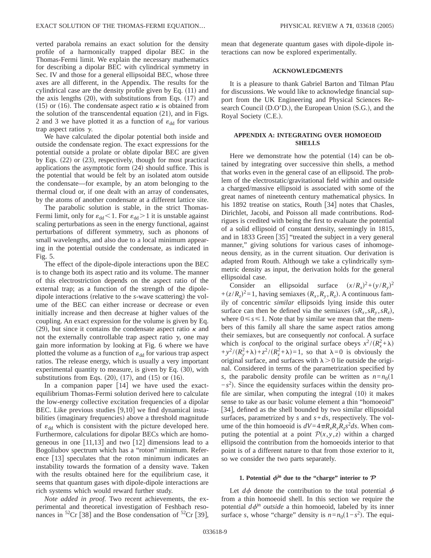verted parabola remains an exact solution for the density profile of a harmonically trapped dipolar BEC in the Thomas-Fermi limit. We explain the necessary mathematics for describing a dipolar BEC with cylindrical symmetry in Sec. IV and those for a general ellipsoidal BEC, whose three axes are all different, in the Appendix. The results for the cylindrical case are the density profile given by Eq.  $(11)$  and the axis lengths  $(20)$ , with substitutions from Eqs.  $(17)$  and (15) or (16). The condensate aspect ratio  $\kappa$  is obtained from the solution of the transcendental equation  $(21)$ , and in Figs. 2 and 3 we have plotted it as a function of  $\varepsilon_{dd}$  for various trap aspect ratios  $\gamma$ .

We have calculated the dipolar potential both inside and outside the condensate region. The exact expressions for the potential outside a prolate or oblate dipolar BEC are given by Eqs.  $(22)$  or  $(23)$ , respectively, though for most practical applications the asymptotic form  $(24)$  should suffice. This is the potential that would be felt by an isolated atom outside the condensate—for example, by an atom belonging to the thermal cloud or, if one dealt with an array of condensates, by the atoms of another condensate at a different lattice site.

The parabolic solution is stable, in the strict Thomas-Fermi limit, only for  $\varepsilon_{dd} < 1$ . For  $\varepsilon_{dd} > 1$  it is unstable against scaling perturbations as seen in the energy functional, against perturbations of different symmetry, such as phonons of small wavelengths, and also due to a local minimum appearing in the potential outside the condensate, as indicated in Fig. 5.

The effect of the dipole-dipole interactions upon the BEC is to change both its aspect ratio and its volume. The manner of this electrostriction depends on the aspect ratio of the external trap; as a function of the strength of the dipoledipole interactions (relative to the *s*-wave scattering) the volume of the BEC can either increase or decrease or even initially increase and then decrease at higher values of the coupling. An exact expression for the volume is given by Eq. (29), but since it contains the condensate aspect ratio  $\kappa$  and not the externally controllable trap aspect ratio  $\gamma$ , one may gain more information by looking at Fig. 6 where we have plotted the volume as a function of  $\varepsilon_{dd}$  for various trap aspect ratios. The release energy, which is usually a very important experimental quantity to measure, is given by Eq.  $(30)$ , with substitutions from Eqs.  $(20)$ ,  $(17)$ , and  $(15)$  or  $(16)$ .

In a companion paper  $[14]$  we have used the exactequilibrium Thomas-Fermi solution derived here to calculate the low-energy collective excitation frequencies of a dipolar BEC. Like previous studies  $[9,10]$  we find dynamical instabilities (imaginary frequencies) above a threshold magnitude of  $\varepsilon_{dd}$  which is consistent with the picture developed here. Furthermore, calculations for dipolar BECs which are homogeneous in one  $\lceil 11,13 \rceil$  and two  $\lceil 12 \rceil$  dimensions lead to a Bogoliubov spectrum which has a "roton" minimum. Reference  $\lceil 13 \rceil$  speculates that the roton minimum indicates an instability towards the formation of a density wave. Taken with the results obtained here for the equilibrium case, it seems that quantum gases with dipole-dipole interactions are rich systems which would reward further study.

*Note added in proof.* Two recent achievements, the experimental and theoretical investigation of Feshbach resonances in  ${}^{52}Cr$  [38] and the Bose condensation of  ${}^{52}Cr$  [39], mean that degenerate quantum gases with dipole-dipole interactions can now be explored experimentally.

#### **ACKNOWLEDGMENTS**

It is a pleasure to thank Gabriel Barton and Tilman Pfau for discussions. We would like to acknowledge financial support from the UK Engineering and Physical Sciences Research Council  $(D.O'D.)$ , the European Union  $(S.G.)$ , and the Royal Society (C.E.).

#### **APPENDIX A: INTEGRATING OVER HOMOEOID SHELLS**

Here we demonstrate how the potential  $(14)$  can be obtained by integrating over successive thin shells, a method that works even in the general case of an ellipsoid. The problem of the electrostatic/gravitational field within and outside a charged/massive ellipsoid is associated with some of the great names of nineteenth century mathematical physics. In his  $1892$  treatise on statics, Routh  $[34]$  notes that Chasles, Dirichlet, Jacobi, and Poisson all made contributions. Rodrigues is credited with being the first to evaluate the potential of a solid ellipsoid of constant density, seemingly in 1815, and in 1833 Green [35] "treated the subject in a very general manner," giving solutions for various cases of inhomogeneous density, as in the current situation. Our derivation is adapted from Routh. Although we take a cylindrically symmetric density as input, the derivation holds for the general ellipsoidal case.

Consider an ellipsoidal surface  $(x/R_x)^2 + (y/R_y)^2$  $+(z/R_z)^2 = 1$ , having semiaxes  $(R_x, R_y, R_z)$ . A continuous family of concentric *similar* ellipsoids lying inside this outer surface can then be defined via the semiaxes  $(sR_x, sR_y, sR_z)$ , where  $0 \le s \le 1$ . Note that by similar we mean that the members of this family all share the same aspect ratios among their semiaxes, but are consequently *not* confocal. A surface which is *confocal* to the original surface obeys  $x^2/(R_x^2 + \lambda)$  $+y^2/(R_y^2 + \lambda) + z^2/(R_z^2 + \lambda) = 1$ , so that  $\lambda = 0$  is obviously the original surface, and surfaces with  $\lambda > 0$  lie outside the original. Considered in terms of the parametrization specified by *s*, the parabolic density profile can be written as  $n = n_0(1)$  $-s<sup>2</sup>$ ). Since the equidensity surfaces within the density profile are similar, when computing the integral  $(10)$  it makes sense to take as our basic volume element a thin "homoeoid" [34], defined as the shell bounded by two similar ellipsoidal surfaces, parametrized by *s* and *s*+*ds*, respectively. The volume of the thin homoeoid is  $dV = 4\pi R_x R_y R_z s^2 ds$ . When computing the potential at a point  $\mathcal{P}(x, y, z)$  within a charged ellipsoid the contribution from the homoeoids interior to that point is of a different nature to that from those exterior to it, so we consider the two parts separately.

#### **1. Potential**  $\phi^{\text{in}}$  due to the "charge" interior to  $\mathcal{P}$

Let  $d\phi$  denote the contribution to the total potential  $\phi$ from a thin homoeoid shell. In this section we require the potential  $d\phi^{\text{in}}$  *outside* a thin homoeoid, labeled by its inner surface *s*, whose "charge" density is  $n = n_0(1 - s^2)$ . The equi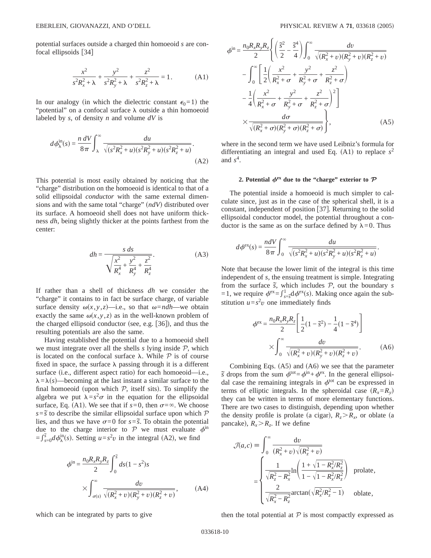potential surfaces outside a charged thin homoeoid *s* are confocal ellipsoids  $\lceil 34 \rceil$ 

$$
\frac{x^2}{s^2 R_x^2 + \lambda} + \frac{y^2}{s^2 R_y^2 + \lambda} + \frac{z^2}{s^2 R_z^2 + \lambda} = 1.
$$
 (A1)

In our analogy (in which the dielectric constant  $\epsilon_0=1$ ) the "potential" on a confocal surface  $\lambda$  outside a thin homoeoid labeled by *s*, of density *n* and volume *dV* is

$$
d\phi_{\lambda}^{\text{in}}(s) = \frac{n \, dV}{8 \, \pi} \int_{\lambda}^{\infty} \frac{du}{\sqrt{(s^2 R_x^2 + u)(s^2 R_y^2 + u)(s^2 R_z^2 + u)}}.
$$
\n(A2)

This potential is most easily obtained by noticing that the "charge" distribution on the homoeoid is identical to that of a solid ellipsoidal *conductor* with the same external dimensions and with the same total "charge" (ndV) distributed over its surface. A homoeoid shell does not have uniform thickness *dh*, being slightly thicker at the points farthest from the center:

$$
dh = \frac{s \, ds}{\sqrt{\frac{x^2}{R_x^4} + \frac{y^2}{R_y^4} + \frac{z^2}{R_z^4}}}. \tag{A3}
$$

If rather than a shell of thickness *dh* we consider the "charge" it contains to in fact be surface charge, of variable surface density  $\omega(x, y, z)$ —i.e., so that  $\omega = ndh$ —we obtain exactly the same  $\omega(x, y, z)$  as in the well-known problem of the charged ellipsoid conductor (see, e.g.  $[36]$ ), and thus the resulting potentials are also the same.

Having established the potential due to a homoeoid shell we must integrate over all the shells  $s$  lying inside  $P$ , which is located on the confocal surface  $\lambda$ . While  $P$  is of course fixed in space, the surface  $\lambda$  passing through it is a different surface (i.e., different aspect ratio) for each homoeoid—i.e.,  $\lambda = \lambda(s)$ —becoming at the last instant a similar surface to the final homoeoid (upon which  $P$ , itself sits). To simplify the algebra we put  $\lambda = s^2 \sigma$  in the equation for the ellipsoidal surface, Eq. (A1). We see that if  $s=0$ , then  $\sigma=\infty$ . We choose  $s = \tilde{s}$  to describe the similar ellipsoidal surface upon which  $P$ lies, and thus we have  $\sigma=0$  for  $s=\tilde{s}$ . To obtain the potential due to the charge interior to  $P$  we must evaluate  $\phi^{\text{in}}$  $=\int_{s=0}^{\overline{s}} d\phi_{\lambda}^{in}(s)$ . Setting  $u=s^2v$  in the integral (A2), we find

$$
\phi^{\text{in}} = \frac{n_0 R_x R_y R_z}{2} \int_0^{\tilde{s}} ds (1 - s^2) s
$$
  
 
$$
\times \int_{\sigma(s)}^{\infty} \frac{dv}{\sqrt{(R_x^2 + v)(R_y^2 + v)(R_z^2 + v)}},
$$
 (A4)

$$
\phi^{\text{in}} = \frac{n_0 R_x R_y R_z}{2} \Biggl\{ \left( \frac{\tilde{s}^2}{2} - \frac{\tilde{s}^4}{4} \right) \int_0^\infty \frac{dv}{\sqrt{(R_x^2 + v)(R_y^2 + v)(R_z^2 + v)}} \n- \int_0^\infty \left[ \frac{1}{2} \left( \frac{x^2}{R_x^2 + \sigma} + \frac{y^2}{R_y^2 + \sigma} + \frac{z^2}{R_z^2 + \sigma} \right) \right. \n- \frac{1}{4} \left( \frac{x^2}{R_x^2 + \sigma} + \frac{y^2}{R_y^2 + \sigma} + \frac{z^2}{R_z^2 + \sigma} \right)^2 \Biggr] \n\times \frac{d\sigma}{\sqrt{(R_x^2 + \sigma)(R_y^2 + \sigma)(R_z^2 + \sigma)}} \Biggr\rbr], \tag{A5}
$$

where in the second term we have used Leibniz's formula for differentiating an integral and used Eq.  $(A1)$  to replace  $s^2$ and *s* 4 .

#### **2. Potential**  $\phi^{\text{ex}}$  due to the "charge" exterior to  $\mathcal{P}$

The potential inside a homoeoid is much simpler to calculate since, just as in the case of the spherical shell, it is a constant, independent of position [37]. Returning to the solid ellipsoidal conductor model, the potential throughout a conductor is the same as on the surface defined by  $\lambda = 0$ . Thus

$$
d\phi^{\text{ex}}(s) = \frac{ndV}{8\pi} \int_0^\infty \frac{du}{\sqrt{(s^2 R_x^2 + u)(s^2 R_y^2 + u)(s^2 R_z^2 + u)}}.
$$

Note that because the lower limit of the integral is this time independent of *s*, the ensuing treatment is simple. Integrating from the surface  $\tilde{s}$ , which includes  $P$ , out the boundary  $s$ = 1, we require  $\phi^{\text{ex}} = \int_{s=\tilde{s}}^{1} d\phi^{\text{ex}}(s)$ . Making once again the substitution  $u = s^2v$  one immediately finds

$$
\phi^{\text{ex}} = \frac{n_0 R_x R_y R_z}{2} \left[ \frac{1}{2} (1 - \tilde{s}^2) - \frac{1}{4} (1 - \tilde{s}^4) \right]
$$

$$
\times \int_0^\infty \frac{dv}{\sqrt{(R_x^2 + v)(R_y^2 + v)(R_z^2 + v)}}.
$$
(A6)

Combining Eqs.  $(A5)$  and  $(A6)$  we see that the parameter  $\tilde{s}$  drops from the sum  $\phi^{\text{tot}} = \phi^{\text{in}} + \phi^{\text{ex}}$ . In the general ellipsoidal case the remaining integrals in  $\phi^{\text{tot}}$  can be expressed in terms of elliptic integrals. In the spheroidal case  $(R_x = R_y)$ they can be written in terms of more elementary functions. There are two cases to distinguish, depending upon whether the density profile is prolate (a cigar),  $R_z > R_x$ , or oblate (a pancake),  $R_x > R_z$ . If we define

$$
\mathcal{J}(a,c) \equiv \int_0^\infty \frac{dv}{(R_x^2 + v)\sqrt{(R_z^2 + v)}}
$$

$$
= \begin{cases} \frac{1}{\sqrt{R_z^2 - R_x^2}} \ln\left(\frac{1 + \sqrt{1 - R_x^2/R_z^2}}{1 - \sqrt{1 - R_x^2/R_z^2}}\right) & \text{prolate,} \\ \frac{2}{\sqrt{R_x^2 - R_z^2}} \arctan(\sqrt{R_x^2/R_z^2 - 1}) & \text{oblate,} \end{cases}
$$

which can be integrated by parts to give

then the total potential at  $P$  is most compactly expressed as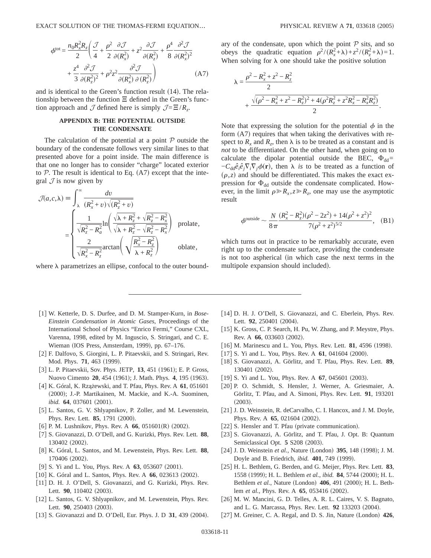$$
\phi^{\text{tot}} = \frac{n_0 R_x^2 R_z}{2} \left( \frac{\mathcal{J}}{4} + \frac{\rho^2}{2} \frac{\partial \mathcal{J}}{\partial (R_x^2)} + z^2 \frac{\partial \mathcal{J}}{\partial (R_z^2)} + \frac{\rho^4}{8} \frac{\partial^2 \mathcal{J}}{\partial (R_x^2)^2} + \frac{z^4}{3} \frac{\partial^2 \mathcal{J}}{\partial (R_z^2)^2} + \rho^2 z^2 \frac{\partial^2 \mathcal{J}}{\partial (R_x^2)} \frac{\partial^2 \mathcal{J}}{\partial (R_z^2)} \right)
$$
(A7)

and is identical to the Green's function result  $(14)$ . The relationship between the function  $\Xi$  defined in the Green's function approach and  $\mathcal J$  defined here is simply  $\mathcal J = \Xi / R_z$ .

#### **APPENDIX B: THE POTENTIAL OUTSIDE THE CONDENSATE**

The calculation of the potential at a point  $P$  outside the boundary of the condensate follows very similar lines to that presented above for a point inside. The main difference is that one no longer has to consider "charge" located exterior to  $P$ . The result is identical to Eq.  $(A7)$  except that the integral  $\mathcal J$  is now given by

$$
\mathcal{J}(a, c, \lambda) \equiv \int_{\lambda}^{\infty} \frac{dv}{(R_x^2 + v)\sqrt{(R_z^2 + v)}}
$$

$$
= \begin{cases} \frac{1}{\sqrt{R_z^2 - R_a^2}} \ln\left(\frac{\sqrt{\lambda + R_z^2} + \sqrt{R_z^2 - R_x^2}}{\sqrt{\lambda + R_z^2} - \sqrt{R_z^2 - R_x^2}}\right) & \text{prolate,} \\ \frac{2}{\sqrt{R_x^2 - R_z^2}} \arctan\left(\sqrt{\frac{R_x^2 - R_z^2}{\lambda + R_z^2}}\right) & \text{oblate,} \end{cases}
$$

where  $\lambda$  parametrizes an ellipse, confocal to the outer bound-

ary of the condensate, upon which the point  $P$  sits, and so obeys the quadratic equation  $\rho^2/(R_x^2 + \lambda) + z^2/(R_z^2 + \lambda) = 1$ . When solving for  $\lambda$  one should take the positive solution

$$
\lambda = \frac{\rho^2 - R_x^2 + z^2 - R_z^2}{2} + \frac{\sqrt{(\rho^2 - R_x^2 + z^2 - R_z^2)^2 + 4(\rho^2 R_z^2 + z^2 R_x^2 - R_x^2 R_z^2)}}{2}.
$$

Note that expressing the solution for the potential  $\phi$  in the form  $(A7)$  requires that when taking the derivatives with respect to  $R_x$  and  $R_z$ , then  $\lambda$  is to be treated as a constant and is *not* to be differentiated. On the other hand, when going on to calculate the dipolar potential outside the BEC,  $\Phi_{dd}$ =  $-C_{dd} \hat{e}_i \hat{e}_j \nabla_i \nabla_j \phi(\mathbf{r})$ , then  $\lambda$  *is* to be treated as a function of  $(\rho, z)$  and should be differentiated. This makes the exact expression for  $\Phi_{dd}$  outside the condensate complicated. However, in the limit  $\rho \ge R_x$ ,  $z \ge R_z$ , one may use the asymptotic result

$$
\phi^{\text{outside}} \sim \frac{N}{8\pi} \frac{(R_x^2 - R_z^2)(\rho^2 - 2z^2) + 14(\rho^2 + z^2)^2}{7(\rho^2 + z^2)^{5/2}}, \quad \text{(B1)}
$$

which turns out in practice to be remarkably accurate, even right up to the condensate surface, providing the condensate is not too aspherical (in which case the next terms in the multipole expansion should included).

- [1] W. Ketterle, D. S. Durfee, and D. M. Stamper-Kurn, in *Bose-Einstein Condensation in Atomic Gases*, Proceedings of the International School of Physics "Enrico Fermi," Course CXL, Varenna, 1998, edited by M. Inguscio, S. Stringari, and C. E. Wieman (IOS Press, Amsterdam, 1999), pp. 67–176.
- [2] F. Dalfovo, S. Giorgini, L. P. Pitaevskii, and S. Stringari, Rev. Mod. Phys. **71**, 463 (1999).
- [3] L. P. Pitaevskii, Sov. Phys. JETP, **13**, 451 (1961); E. P. Gross, Nuovo Cimento **20**, 454 (1961); J. Math. Phys. **4**, 195 (1963).
- f4g K. Góral, K. Rzążewski, and T. Pfau, Phys. Rev. A **61**, 051601 (2000); J.-P. Martikainen, M. Mackie, and K.-A. Suominen, *ibid.* **64**, 037601 (2001).
- [5] L. Santos, G. V. Shlyapnikov, P. Zoller, and M. Lewenstein, Phys. Rev. Lett. **85**, 1791 (2000).
- [6] P. M. Lushnikov, Phys. Rev. A  $66$ ,  $051601(R)$  (2002).
- f7g S. Giovanazzi, D. O'Dell, and G. Kurizki, Phys. Rev. Lett. **88**, 130402 (2002).
- f8g K. Góral, L. Santos, and M. Lewenstein, Phys. Rev. Lett. **88**, 170406 (2002).
- [9] S. Yi and L. You, Phys. Rev. A  $63$ , 053607 (2001).
- [10] K. Góral and L. Santos, Phys. Rev. A **66**, 023613 (2002).
- [11] D. H. J. O'Dell, S. Giovanazzi, and G. Kurizki, Phys. Rev. Lett. 90, 110402 (2003).
- [12] L. Santos, G. V. Shlyapnikov, and M. Lewenstein, Phys. Rev. Lett. 90, 250403 (2003).
- [13] S. Giovanazzi and D. O'Dell, Eur. Phys. J. D  $31$ , 439 (2004).
- [14] D. H. J. O'Dell, S. Giovanazzi, and C. Eberlein, Phys. Rev. Lett. 92, 250401 (2004).
- [15] K. Gross, C. P. Search, H. Pu, W. Zhang, and P. Meystre, Phys. Rev. A **66**, 033603 (2002).
- [16] M. Marinescu and L. You, Phys. Rev. Lett. **81**, 4596 (1998).
- $\lceil 17 \rceil$  S. Yi and L. You, Phys. Rev. A **61**, 041604 (2000).
- f18g S. Giovanazzi, A. Görlitz, and T. Pfau, Phys. Rev. Lett. **89**, 130401 (2002).
- [19] S. Yi and L. You, Phys. Rev. A  $67$ , 045601 (2003).
- [20] P. O. Schmidt, S. Hensler, J. Werner, A. Griesmaier, A. Görlitz, T. Pfau, and A. Simoni, Phys. Rev. Lett. **91**, 193201  $(2003).$
- [21] J. D. Weinstein, R. deCarvalho, C. I. Hancox, and J. M. Doyle, Phys. Rev. A 65, 021604 (2002).
- [22] S. Hensler and T. Pfau (private communication).
- [23] S. Giovanazzi, A. Görlitz, and T. Pfau, J. Opt. B: Quantum Semiclassical Opt. **5** S208 (2003).
- [24] J. D. Weinstein *et al.*, Nature (London) **395**, 148 (1998); J. M. Doyle and B. Friedrich, *ibid.* **401**, 749 (1999).
- [25] H. L. Bethlem, G. Berden, and G. Meijer, Phys. Rev. Lett. 83, 1558 (1999); H. L. Bethlem et al., *ibid.* 84, 5744 (2000); H. L. Bethlem et al., Nature (London) **406**, 491 (2000); H. L. Bethlem *et al.*, Phys. Rev. A 65, 053416 (2002).
- [26] M. W. Mancini, G. D. Telles, A. R. L. Caires, V. S. Bagnato, and L. G. Marcassa, Phys. Rev. Lett. 92 133203 (2004).
- [27] M. Greiner, C. A. Regal, and D. S. Jin, Nature (London) 426,